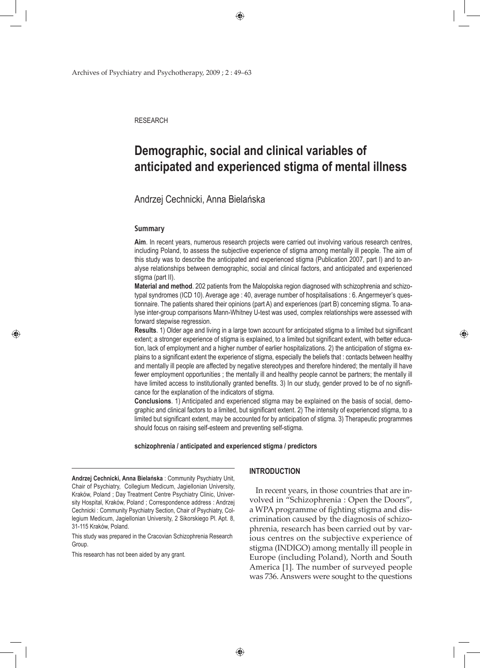Archives of Psychiatry and Psychotherapy, 2009 ; 2 : 49–63

**RESEARCH** 

# **Demographic, social and clinical variables of anticipated and experienced stigma of mental illness**

 $\bigoplus$ 

# Andrzej Cechnicki, Anna Bielańska

#### **Summary**

⊕

**Aim**. In recent years, numerous research projects were carried out involving various research centres, including Poland, to assess the subjective experience of stigma among mentally ill people. The aim of this study was to describe the anticipated and experienced stigma (Publication 2007, part I) and to analyse relationships between demographic, social and clinical factors, and anticipated and experienced stigma (part II).

**Material and method**. 202 patients from the Malopolska region diagnosed with schizophrenia and schizotypal syndromes (ICD 10). Average age : 40, average number of hospitalisations : 6. Angermeyer's questionnaire. The patients shared their opinions (part A) and experiences (part B) concerning stigma. To analyse inter-group comparisons Mann-Whitney U-test was used, complex relationships were assessed with forward stepwise regression.

**Results**. 1) Older age and living in a large town account for anticipated stigma to a limited but significant extent; a stronger experience of stigma is explained, to a limited but significant extent, with better education, lack of employment and a higher number of earlier hospitalizations. 2) the anticipation of stigma explains to a significant extent the experience of stigma, especially the beliefs that : contacts between healthy and mentally ill people are affected by negative stereotypes and therefore hindered; the mentally ill have fewer employment opportunities ; the mentally ill and healthy people cannot be partners; the mentally ill have limited access to institutionally granted benefits. 3) In our study, gender proved to be of no significance for the explanation of the indicators of stigma.

**Conclusions**. 1) Anticipated and experienced stigma may be explained on the basis of social, demographic and clinical factors to a limited, but significant extent. 2) The intensity of experienced stigma, to a limited but significant extent, may be accounted for by anticipation of stigma. 3) Therapeutic programmes should focus on raising self-esteem and preventing self-stigma.

### **schizophrenia / anticipated and experienced stigma / predictors**

**Andrzej Cechnicki, Anna Bielańska** : Community Psychiatry Unit, Chair of Psychiatry, Collegium Medicum, Jagiellonian University, Kraków, Poland ; Day Treatment Centre Psychiatry Clinic, University Hospital, Kraków, Poland ; Correspondence address : Andrzej Cechnicki : Community Psychiatry Section, Chair of Psychiatry, Collegium Medicum, Jagiellonian University, 2 Sikorskiego Pl. Apt. 8, 31-115 Kraków, Poland.

This study was prepared in the Cracovian Schizophrenia Research Group.

This research has not been aided by any grant.

# **INTRODUCTION**

In recent years, in those countries that are involved in "Schizophrenia : Open the Doors", a WPA programme of fighting stigma and discrimination caused by the diagnosis of schizophrenia, research has been carried out by various centres on the subjective experience of stigma (INDIGO) among mentally ill people in Europe (including Poland), North and South America [1]. The number of surveyed people was 736. Answers were sought to the questions ♠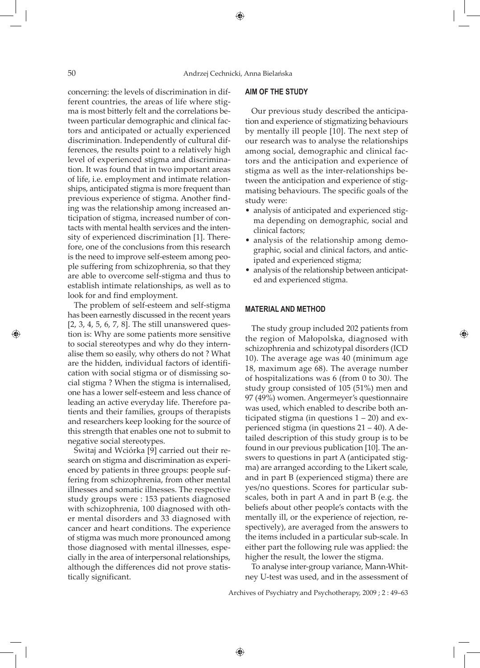concerning: the levels of discrimination in different countries, the areas of life where stigma is most bitterly felt and the correlations between particular demographic and clinical factors and anticipated or actually experienced discrimination. Independently of cultural differences, the results point to a relatively high level of experienced stigma and discrimination. It was found that in two important areas of life, i.e. employment and intimate relationships, anticipated stigma is more frequent than previous experience of stigma. Another finding was the relationship among increased anticipation of stigma, increased number of contacts with mental health services and the intensity of experienced discrimination [1]. Therefore, one of the conclusions from this research is the need to improve self-esteem among people suffering from schizophrenia, so that they are able to overcome self-stigma and thus to establish intimate relationships, as well as to look for and find employment.

The problem of self-esteem and self-stigma has been earnestly discussed in the recent years [2, 3, 4, 5, 6, 7, 8]. The still unanswered question is: Why are some patients more sensitive to social stereotypes and why do they internalise them so easily, why others do not ? What are the hidden, individual factors of identification with social stigma or of dismissing social stigma ? When the stigma is internalised, one has a lower self-esteem and less chance of leading an active everyday life. Therefore patients and their families, groups of therapists and researchers keep looking for the source of this strength that enables one not to submit to negative social stereotypes.

Świtaj and Wciórka [9] carried out their research on stigma and discrimination as experienced by patients in three groups: people suffering from schizophrenia, from other mental illnesses and somatic illnesses. The respective study groups were : 153 patients diagnosed with schizophrenia, 100 diagnosed with other mental disorders and 33 diagnosed with cancer and heart conditions. The experience of stigma was much more pronounced among those diagnosed with mental illnesses, especially in the area of interpersonal relationships, although the differences did not prove statistically significant.

# **AIM OF THE STUDY**

Our previous study described the anticipation and experience of stigmatizing behaviours by mentally ill people [10]. The next step of our research was to analyse the relationships among social, demographic and clinical factors and the anticipation and experience of stigma as well as the inter-relationships between the anticipation and experience of stigmatising behaviours. The specific goals of the study were:

- analysis of anticipated and experienced stigma depending on demographic, social and clinical factors;
- analysis of the relationship among demographic, social and clinical factors, and anticipated and experienced stigma;
- analysis of the relationship between anticipated and experienced stigma.

⊕

#### **MATERIAL AND METHOD**

The study group included 202 patients from the region of Małopolska, diagnosed with schizophrenia and schizotypal disorders (ICD 10). The average age was 40 (minimum age 18, maximum age 68). The average number of hospitalizations was 6 (from 0 to 30*).* The study group consisted of 105 (51%) men and 97 (49%) women. Angermeyer's questionnaire was used, which enabled to describe both anticipated stigma (in questions  $1 - 20$ ) and experienced stigma (in questions 21 – 40). A detailed description of this study group is to be found in our previous publication [10]. The answers to questions in part A (anticipated stigma) are arranged according to the Likert scale, and in part B (experienced stigma) there are yes/no questions. Scores for particular subscales, both in part A and in part B (e.g. the beliefs about other people's contacts with the mentally ill, or the experience of rejection, respectively), are averaged from the answers to the items included in a particular sub-scale. In either part the following rule was applied: the higher the result, the lower the stigma.

To analyse inter-group variance, Mann-Whitney U-test was used, and in the assessment of

Archives of Psychiatry and Psychotherapy, 2009 ; 2 : 49–63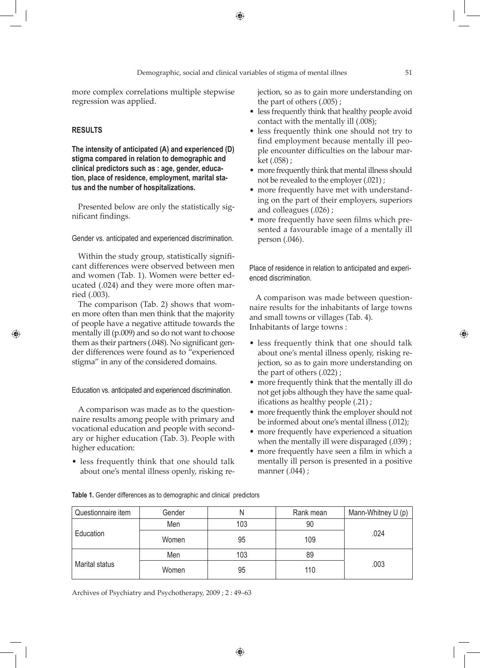◈

more complex correlations multiple stepwise regression was applied.

# **RESULTS**

⊕

**The intensity of anticipated (A) and experienced (D) stigma compared in relation to demographic and clinical predictors such as : age, gender, education, place of residence, employment, marital status and the number of hospitalizations.**

Presented below are only the statistically significant findings.

Gender vs. anticipated and experienced discrimination.

Within the study group, statistically significant differences were observed between men and women (Tab. 1). Women were better educated (.024) and they were more often married (.003).

The comparison (Tab. 2) shows that women more often than men think that the majority of people have a negative attitude towards the mentally ill (p.009) and so do not want to choose them as their partners (.048). No significant gender differences were found as to "experienced stigma" in any of the considered domains.

Education vs. anticipated and experienced discrimination.

A comparison was made as to the questionnaire results among people with primary and vocational education and people with secondary or higher education (Tab. 3). People with higher education:

• less frequently think that one should talk about one's mental illness openly, risking rejection, so as to gain more understanding on the part of others (.005) ;

- less frequently think that healthy people avoid contact with the mentally ill (.008);
- less frequently think one should not try to find employment because mentally ill people encounter difficulties on the labour market (.058) ;
- more frequently think that mental illness should not be revealed to the employer (.021) ;
- more frequently have met with understanding on the part of their employers, superiors and colleagues (.026) ;
- more frequently have seen films which presented a favourable image of a mentally ill person (.046).

Place of residence in relation to anticipated and experienced discrimination.

A comparison was made between questionnaire results for the inhabitants of large towns and small towns or villages (Tab. 4). Inhabitants of large towns :

- less frequently think that one should talk about one's mental illness openly, risking rejection, so as to gain more understanding on the part of others (.022) ;
- more frequently think that the mentally ill do not get jobs although they have the same qualifications as healthy people (.21) ;
- more frequently think the employer should not be informed about one's mental illness (.012);
- more frequently have experienced a situation when the mentally ill were disparaged (.039);
- more frequently have seen a film in which a mentally ill person is presented in a positive manner (.044) ;

| Questionnaire item | Gender |     | Rank mean | Mann-Whitney U (p) |
|--------------------|--------|-----|-----------|--------------------|
| Education          | Men    | 103 | 90        |                    |
|                    | Women  | 95  | 109       | .024               |
| Marital status     | Men    | 103 | 89        |                    |
|                    | Women  | 95  | 110       | .003               |

**Table 1.** Gender differences as to demographic and clinical predictors

Archives of Psychiatry and Psychotherapy, 2009 ; 2 : 49–63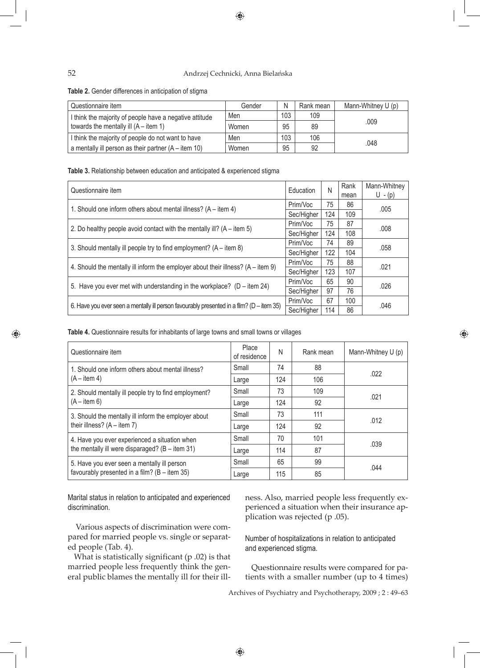# 52 Andrzej Cechnicki, Anna Bielańska

 $\bigoplus$ 

**Table 2.** Gender differences in anticipation of stigma

| Questionnaire item                                      | Gender | Ν   | Rank mean | Mann-Whitney U (p) |
|---------------------------------------------------------|--------|-----|-----------|--------------------|
| I think the majority of people have a negative attitude | Men    | 103 | 109       |                    |
| towards the mentally ill $(A - item 1)$                 | Women  | 95  | 89        | .009               |
| I think the majority of people do not want to have      | Men    | 103 | 106       | .048               |
| a mentally ill person as their partner $(A - item 10)$  | Women  | 95  | 92        |                    |

**Table 3.** Relationship between education and anticipated & experienced stigma

| Questionnaire item                                                                        | Education  |     | Rank<br>mean | Mann-Whitney<br>$U - (p)$ |
|-------------------------------------------------------------------------------------------|------------|-----|--------------|---------------------------|
| 1. Should one inform others about mental illness? (A – item 4)                            |            | 75  | 86           |                           |
|                                                                                           | Sec/Higher | 124 | 109          | .005                      |
| 2. Do healthy people avoid contact with the mentally ill? $(A - item 5)$                  |            | 75  | 87           | .008                      |
|                                                                                           |            | 124 | 108          |                           |
| 3. Should mentally ill people try to find employment? (A – item 8)                        | Prim/Voc   | 74  | 89           | .058                      |
|                                                                                           | Sec/Higher | 122 | 104          |                           |
| 4. Should the mentally ill inform the employer about their illness? (A – item 9)          | Prim/Voc   | 75  | 88           | .021                      |
|                                                                                           | Sec/Higher | 123 | 107          |                           |
| 5. Have you ever met with understanding in the workplace? $(D - item 24)$                 | Prim/Voc   | 65  | 90           | .026                      |
|                                                                                           | Sec/Higher | 97  | 76           |                           |
|                                                                                           | Prim/Voc   | 67  | 100          | .046                      |
| 6. Have you ever seen a mentally ill person favourably presented in a film? (D - item 35) | Sec/Higher | 114 | 86           |                           |

**Table 4.** Questionnaire results for inhabitants of large towns and small towns or villages

| Questionnaire item                                    | Place<br>of residence | N   | Rank mean | Mann-Whitney U (p) |
|-------------------------------------------------------|-----------------------|-----|-----------|--------------------|
| 1. Should one inform others about mental illness?     | Small                 | 74  | 88        |                    |
| $(A - item 4)$                                        | Large                 | 124 | 106       | .022               |
| 2. Should mentally ill people try to find employment? | Small                 | 73  | 109       | .021               |
| $(A - item 6)$                                        | Large                 | 124 | 92        |                    |
| 3. Should the mentally ill inform the employer about  | Small                 | 73  | 111       |                    |
| their illness? $(A - item 7)$                         | Large                 | 124 | 92        | .012               |
| 4. Have you ever experienced a situation when         | Small                 | 70  | 101       |                    |
| the mentally ill were disparaged? $(B - item 31)$     | Large                 | 114 | 87        | .039               |
| 5. Have you ever seen a mentally ill person           | Small                 | 65  | 99        |                    |
| favourably presented in a film? $(B - item 35)$       | Large                 | 115 | 85        | .044               |

Marital status in relation to anticipated and experienced discrimination.

Various aspects of discrimination were compared for married people vs. single or separated people (Tab. 4).

What is statistically significant (p .02) is that married people less frequently think the general public blames the mentally ill for their illness. Also, married people less frequently experienced a situation when their insurance application was rejected (p .05).

◈

Number of hospitalizations in relation to anticipated and experienced stigma.

Questionnaire results were compared for patients with a smaller number (up to 4 times)

Archives of Psychiatry and Psychotherapy, 2009 ; 2 : 49–63

♠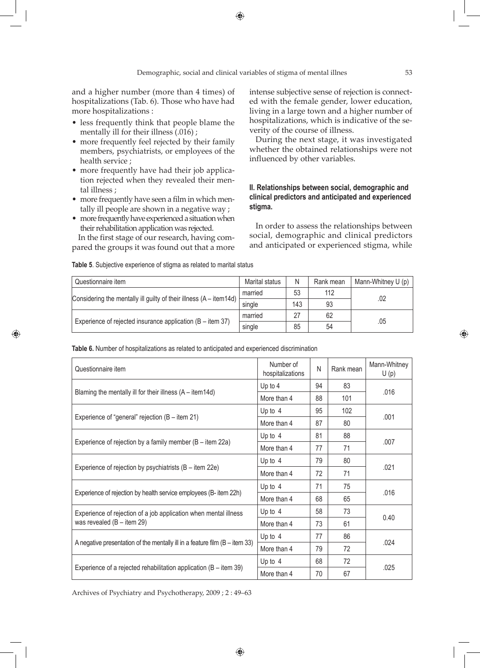and a higher number (more than 4 times) of hospitalizations (Tab. 6). Those who have had more hospitalizations :

- less frequently think that people blame the mentally ill for their illness (.016) ;
- more frequently feel rejected by their family members, psychiatrists, or employees of the health service ;
- more frequently have had their job application rejected when they revealed their mental illness ;
- more frequently have seen a film in which mentally ill people are shown in a negative way ;
- more frequently have experienced a situation when their rehabilitation application was rejected.

In the first stage of our research, having compared the groups it was found out that a more

♠

intense subjective sense of rejection is connected with the female gender, lower education, living in a large town and a higher number of hospitalizations, which is indicative of the severity of the course of illness.

During the next stage, it was investigated whether the obtained relationships were not influenced by other variables.

# **II. Relationships between social, demographic and clinical predictors and anticipated and experienced stigma.**

In order to assess the relationships between social, demographic and clinical predictors and anticipated or experienced stigma, while

| Table 5. Subjective experience of stigma as related to marital status |  |
|-----------------------------------------------------------------------|--|
|                                                                       |  |

| Questionnaire item                                                 | Marital status | N   | Rank mean | Mann-Whitney U (p) |
|--------------------------------------------------------------------|----------------|-----|-----------|--------------------|
|                                                                    | married        | 53  | 112       |                    |
| Considering the mentally ill guilty of their illness (A – item14d) | single         | 143 | 93        | .02                |
|                                                                    | married        | 27  | 62        |                    |
| Experience of rejected insurance application $(B - item 37)$       | single         | 85  | 54        | .05                |

**Table 6.** Number of hospitalizations as related to anticipated and experienced discrimination

| Questionnaire item                                                            | Number of<br>N<br>hospitalizations |    | Rank mean | Mann-Whitney<br>U(p) |  |
|-------------------------------------------------------------------------------|------------------------------------|----|-----------|----------------------|--|
|                                                                               | Up to $4$                          | 94 | 83        |                      |  |
| Blaming the mentally ill for their illness (A – item14d)                      | More than 4                        | 88 | 101       | .016                 |  |
|                                                                               | Up to $4$                          | 95 | 102       |                      |  |
| Experience of "general" rejection (B - item 21)                               | More than 4                        | 87 | 80        | .001                 |  |
|                                                                               | Up to $4$                          | 81 | 88        |                      |  |
| Experience of rejection by a family member $(B - item 22a)$                   | More than 4                        | 77 | 71        | .007                 |  |
|                                                                               | Up to $4$                          | 79 | 80        |                      |  |
| Experience of rejection by psychiatrists (B - item 22e)                       | More than 4                        | 72 | 71        | .021                 |  |
|                                                                               | Up to $4$                          | 71 | 75        |                      |  |
| Experience of rejection by health service employees (B-item 22h)              | More than 4                        | 68 | 65        | .016                 |  |
| Experience of rejection of a job application when mental illness              | Up to $4$                          | 58 | 73        |                      |  |
| was revealed $(B - item 29)$                                                  | More than 4                        | 73 | 61        | 0.40                 |  |
|                                                                               | Up to $4$                          | 77 | 86        |                      |  |
| A negative presentation of the mentally ill in a feature film $(B - item 33)$ | More than 4                        | 79 | 72        | .024                 |  |
|                                                                               | Up to $4$                          | 68 | 72        |                      |  |
| Experience of a rejected rehabilitation application $(B - item 39)$           | More than 4                        | 70 | 67        | .025                 |  |

Archives of Psychiatry and Psychotherapy, 2009 ; 2 : 49–63

◈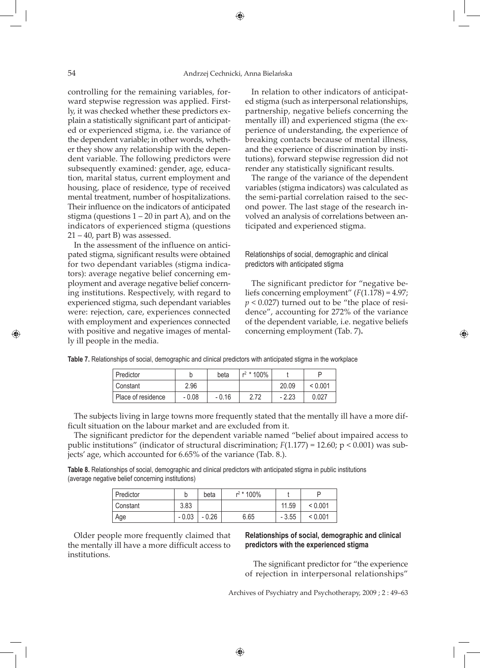controlling for the remaining variables, forward stepwise regression was applied. Firstly, it was checked whether these predictors explain a statistically significant part of anticipated or experienced stigma, i.e. the variance of the dependent variable; in other words, whether they show any relationship with the dependent variable. The following predictors were subsequently examined: gender, age, education, marital status, current employment and housing, place of residence, type of received mental treatment, number of hospitalizations. Their influence on the indicators of anticipated stigma (questions  $1 - 20$  in part A), and on the indicators of experienced stigma (questions  $21 - 40$ , part B) was assessed.

In the assessment of the influence on anticipated stigma, significant results were obtained for two dependant variables (stigma indicators): average negative belief concerning employment and average negative belief concerning institutions. Respectively, with regard to experienced stigma, such dependant variables were: rejection, care, experiences connected with employment and experiences connected with positive and negative images of mentally ill people in the media.

In relation to other indicators of anticipated stigma (such as interpersonal relationships, partnership, negative beliefs concerning the mentally ill) and experienced stigma (the experience of understanding, the experience of breaking contacts because of mental illness, and the experience of discrimination by institutions), forward stepwise regression did not render any statistically significant results.

The range of the variance of the dependent variables (stigma indicators) was calculated as the semi-partial correlation raised to the second power. The last stage of the research involved an analysis of correlations between anticipated and experienced stigma.

Relationships of social, demographic and clinical predictors with anticipated stigma

The significant predictor for "negative beliefs concerning employment" (*F*(1.178) = 4.97;  $p$  < 0.027) turned out to be "the place of residence", accounting for 272% of the variance of the dependent variable, i.e. negative beliefs concerning employment (Tab. 7)**.**

♠

| Predictor          |         | beta    | $r^2$ * 100% |         |         |
|--------------------|---------|---------|--------------|---------|---------|
| Constant           | 2.96    |         |              | 20.09   | < 0.001 |
| Place of residence | $-0.08$ | $-0.16$ | 2.72         | $-2.23$ | 0.027   |

**Table 7.** Relationships of social, demographic and clinical predictors with anticipated stigma in the workplace

The subjects living in large towns more frequently stated that the mentally ill have a more difficult situation on the labour market and are excluded from it.

The significant predictor for the dependent variable named "belief about impaired access to public institutions" (indicator of structural discrimination; *F*(1.177) = 12.60; p < 0.001) was subjects' age, which accounted for 6.65% of the variance (Tab. 8.).

**Table 8.** Relationships of social, demographic and clinical predictors with anticipated stigma in public institutions (average negative belief concerning institutions)

| Predictor |         | beta    | $r^2$ * 100% |         |         |
|-----------|---------|---------|--------------|---------|---------|
| Constant  | 3.83    |         |              | 11.59   | < 0.001 |
| Age       | $-0.03$ | $-0.26$ | 6.65         | $-3.55$ | < 0.001 |

Older people more frequently claimed that the mentally ill have a more difficult access to institutions.

# **Relationships of social, demographic and clinical predictors with the experienced stigma**

 The significant predictor for "the experience of rejection in interpersonal relationships"

Archives of Psychiatry and Psychotherapy, 2009 ; 2 : 49–63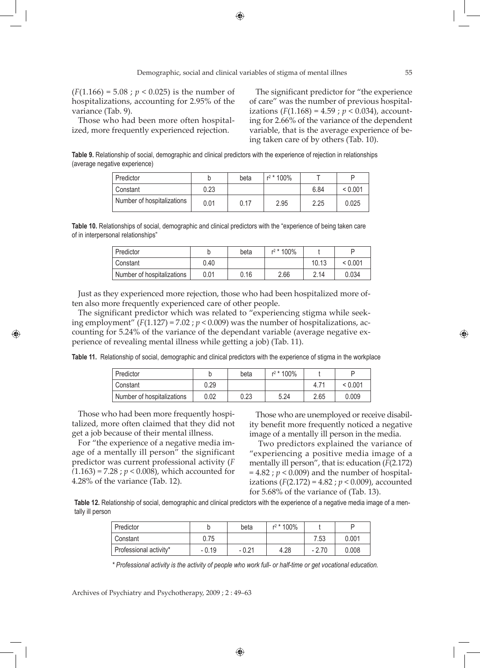(*F*(1.166) = 5.08 ; *p* < 0.025) is the number of hospitalizations, accounting for 2.95% of the variance (Tab. 9).

Those who had been more often hospitalized, more frequently experienced rejection.

The significant predictor for "the experience of care" was the number of previous hospitalizations  $(F(1.168) = 4.59; p < 0.034)$ , accounting for 2.66% of the variance of the dependent variable, that is the average experience of being taken care of by others (Tab. 10).

**Table 9.** Relationship of social, demographic and clinical predictors with the experience of rejection in relationships (average negative experience)

| Predictor                  |      | beta | $r^2$ * 100% |      |         |
|----------------------------|------|------|--------------|------|---------|
| Constant                   | 0.23 |      |              | 6.84 | < 0.001 |
| Number of hospitalizations | 0.01 | 0.17 | 2.95         | 2.25 | 0.025   |

**Table 10.** Relationships of social, demographic and clinical predictors with the "experience of being taken care of in interpersonal relationships"

| Predictor                  |      | beta | r <sup>2</sup> * 100% |       |         |
|----------------------------|------|------|-----------------------|-------|---------|
| Constant                   | 0.40 |      |                       | 10.13 | < 0.001 |
| Number of hospitalizations | 0.01 | 0.16 | 2.66                  | 2.14  | 0.034   |

Just as they experienced more rejection, those who had been hospitalized more often also more frequently experienced care of other people.

The significant predictor which was related to "experiencing stigma while seeking employment"  $(F(1.127) = 7.02; p < 0.009)$  was the number of hospitalizations, accounting for 5.24% of the variance of the dependant variable (average negative experience of revealing mental illness while getting a job) (Tab. 11).

**Table 11.** Relationship of social, demographic and clinical predictors with the experience of stigma in the workplace

| Predictor                  |      | beta | $r^2$ * 100% |         |         |
|----------------------------|------|------|--------------|---------|---------|
| Constant                   | 0.29 |      |              | $4.7^4$ | < 0.001 |
| Number of hospitalizations | 0.02 | 0.23 | 5.24         | 2.65    | 0.009   |

Those who had been more frequently hospitalized, more often claimed that they did not get a job because of their mental illness.

⊕

For "the experience of a negative media image of a mentally ill person" the significant predictor was current professional activity (*F (*1.163) = 7.28 ; *p* < 0.008), which accounted for 4.28% of the variance (Tab. 12).

Those who are unemployed or receive disability benefit more frequently noticed a negative image of a mentally ill person in the media.

 Two predictors explained the variance of "experiencing a positive media image of a mentally ill person", that is: education (*F*(2.172)  $= 4.82$ ;  $p < 0.009$ ) and the number of hospitalizations  $(F(2.172) = 4.82; p < 0.009)$ , accounted for 5.68% of the variance of (Tab. 13).

**Table 12.** Relationship of social, demographic and clinical predictors with the experience of a negative media image of a mentally ill person

| Predictor              |         | beta    | $r^2$ * 100% |         |       |
|------------------------|---------|---------|--------------|---------|-------|
| Constant               | 0.75    |         |              | 7.53    | 0.001 |
| Professional activity* | $-0.19$ | $-0.21$ | 4.28         | $-2.70$ | 0.008 |

*\* Professional activity is the activity of people who work full- or half-time or get vocational education.*

Archives of Psychiatry and Psychotherapy, 2009 ; 2 : 49–63

♠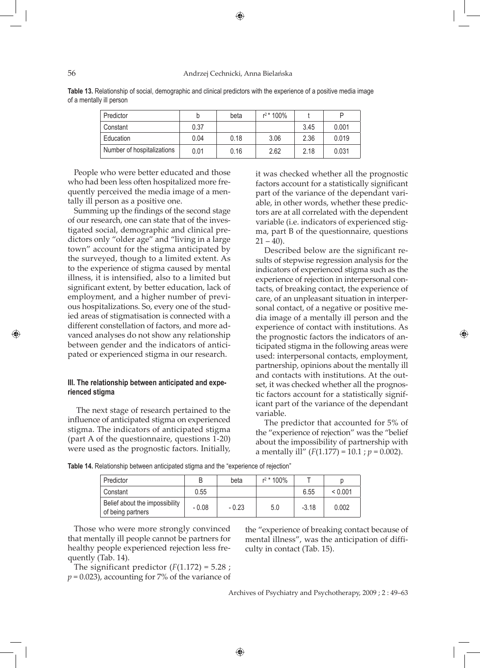56 Andrzej Cechnicki, Anna Bielańska

⊕

| Table 13. Relationship of social, demographic and clinical predictors with the experience of a positive media image |  |  |  |
|---------------------------------------------------------------------------------------------------------------------|--|--|--|
| of a mentally ill person                                                                                            |  |  |  |

| Predictor                  | b    | beta | $r^2$ * 100% |      |       |
|----------------------------|------|------|--------------|------|-------|
| Constant                   | 0.37 |      |              | 3.45 | 0.001 |
| Education                  | 0.04 | 0.18 | 3.06         | 2.36 | 0.019 |
| Number of hospitalizations | 0.01 | 0.16 | 2.62         | 2.18 | 0.031 |

People who were better educated and those who had been less often hospitalized more frequently perceived the media image of a mentally ill person as a positive one.

Summing up the findings of the second stage of our research, one can state that of the investigated social, demographic and clinical predictors only "older age" and "living in a large town" account for the stigma anticipated by the surveyed, though to a limited extent. As to the experience of stigma caused by mental illness, it is intensified, also to a limited but significant extent, by better education, lack of employment, and a higher number of previous hospitalizations. So, every one of the studied areas of stigmatisation is connected with a different constellation of factors, and more advanced analyses do not show any relationship between gender and the indicators of anticipated or experienced stigma in our research.

# **III. The relationship between anticipated and experienced stigma**

 The next stage of research pertained to the influence of anticipated stigma on experienced stigma. The indicators of anticipated stigma (part A of the questionnaire, questions 1-20) were used as the prognostic factors. Initially,

it was checked whether all the prognostic factors account for a statistically significant part of the variance of the dependant variable, in other words, whether these predictors are at all correlated with the dependent variable (i.e. indicators of experienced stigma, part B of the questionnaire, questions  $21 - 40$ ).

 Described below are the significant results of stepwise regression analysis for the indicators of experienced stigma such as the experience of rejection in interpersonal contacts, of breaking contact, the experience of care, of an unpleasant situation in interpersonal contact, of a negative or positive media image of a mentally ill person and the experience of contact with institutions. As the prognostic factors the indicators of anticipated stigma in the following areas were used: interpersonal contacts, employment, partnership, opinions about the mentally ill and contacts with institutions. At the outset, it was checked whether all the prognostic factors account for a statistically significant part of the variance of the dependant variable.

⊕

 The predictor that accounted for 5% of the "experience of rejection" was the "belief about the impossibility of partnership with a mentally ill"  $(F(1.177) = 10.1; p = 0.002)$ .

**Table 14.** Relationship between anticipated stigma and the "experience of rejection"

| Predictor                                           |         | beta    | $r^2$ * 100% |         |         |
|-----------------------------------------------------|---------|---------|--------------|---------|---------|
| Constant                                            | 0.55    |         |              | 6.55    | < 0.001 |
| Belief about the impossibility<br>of being partners | $-0.08$ | $-0.23$ | 5.0          | $-3.18$ | 0.002   |

⊕

Those who were more strongly convinced that mentally ill people cannot be partners for healthy people experienced rejection less frequently (Tab. 14).

The significant predictor  $(F(1.172) = 5.28)$ ;  $p = 0.023$ ), accounting for 7% of the variance of the "experience of breaking contact because of mental illness", was the anticipation of difficulty in contact (Tab. 15).

Archives of Psychiatry and Psychotherapy, 2009 ; 2 : 49–63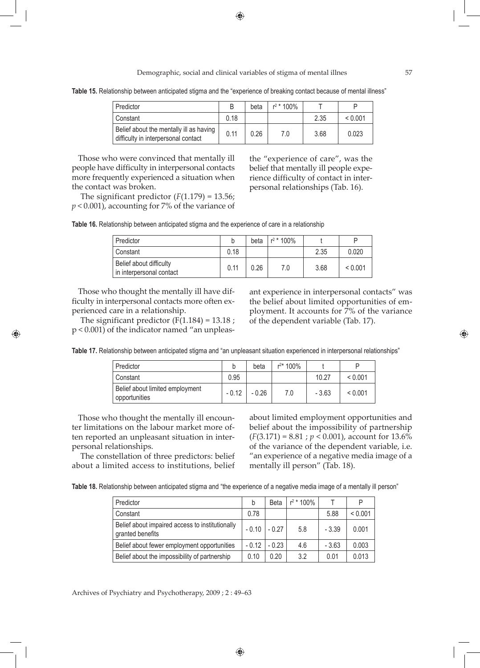Demographic, social and clinical variables of stigma of mental illnes 57

**Table 15.** Relationship between anticipated stigma and the "experience of breaking contact because of mental illness"

| Predictor                                                                      |      | beta | $r^2$ * 100% |      |         |
|--------------------------------------------------------------------------------|------|------|--------------|------|---------|
| Constant                                                                       | 0.18 |      |              | 2.35 | < 0.001 |
| Belief about the mentally ill as having<br>difficulty in interpersonal contact | 0.11 | 0.26 | 7.0          | 3.68 | 0.023   |

Those who were convinced that mentally ill people have difficulty in interpersonal contacts more frequently experienced a situation when the contact was broken.

The significant predictor  $(F(1.179) = 13.56)$ ; *p* < 0.001), accounting for 7% of the variance of

the "experience of care", was the belief that mentally ill people experience difficulty of contact in interpersonal relationships (Tab. 16).

| Table 16. Relationship between anticipated stigma and the experience of care in a relationship |  |  |  |  |  |
|------------------------------------------------------------------------------------------------|--|--|--|--|--|
|                                                                                                |  |  |  |  |  |

| Predictor                                           | b    | beta | $r^2$ * 100% |      | P       |
|-----------------------------------------------------|------|------|--------------|------|---------|
| Constant                                            | 0.18 |      |              | 2.35 | 0.020   |
| Belief about difficulty<br>in interpersonal contact | 0.11 | 0.26 | 7.0          | 3.68 | < 0.001 |

Those who thought the mentally ill have difficulty in interpersonal contacts more often experienced care in a relationship.

The significant predictor  $(F(1.184) = 13.18)$ ; p < 0.001) of the indicator named "an unpleas-

⊕

ant experience in interpersonal contacts" was the belief about limited opportunities of employment. It accounts for 7% of the variance of the dependent variable (Tab. 17).

**Table 17.** Relationship between anticipated stigma and "an unpleasant situation experienced in interpersonal relationships"

| Predictor                                          |         | beta    | $r^{2*}$ 100% |         |              |
|----------------------------------------------------|---------|---------|---------------|---------|--------------|
| Constant                                           | 0.95    |         |               | 10.27   | < 0.001      |
| Belief about limited employment<br>' opportunities | $-0.12$ | $-0.26$ | 7.0           | $-3.63$ | ${}_{0.001}$ |

Those who thought the mentally ill encounter limitations on the labour market more often reported an unpleasant situation in interpersonal relationships.

 The constellation of three predictors: belief about a limited access to institutions, belief

about limited employment opportunities and belief about the impossibility of partnership (*F*(3.171) = 8.81 ; *p* < 0.001), account for 13.6% of the variance of the dependent variable, i.e. "an experience of a negative media image of a mentally ill person" (Tab. 18).

**Table 18.** Relationship between anticipated stigma and "the experience of a negative media image of a mentally ill person"

| Predictor                                                           | b       | <b>Beta</b> | $r^2$ * 100% |         | P       |
|---------------------------------------------------------------------|---------|-------------|--------------|---------|---------|
| Constant                                                            | 0.78    |             |              | 5.88    | < 0.001 |
| Belief about impaired access to institutionally<br>granted benefits | $-0.10$ | $-0.27$     | 5.8          | $-3.39$ | 0.001   |
| Belief about fewer employment opportunities                         | $-0.12$ | $-0.23$     | 4.6          | $-3.63$ | 0.003   |
| Belief about the impossibility of partnership                       | 0.10    | 0.20        | 3.2          | 0.01    | 0.013   |

Archives of Psychiatry and Psychotherapy, 2009 ; 2 : 49–63

◈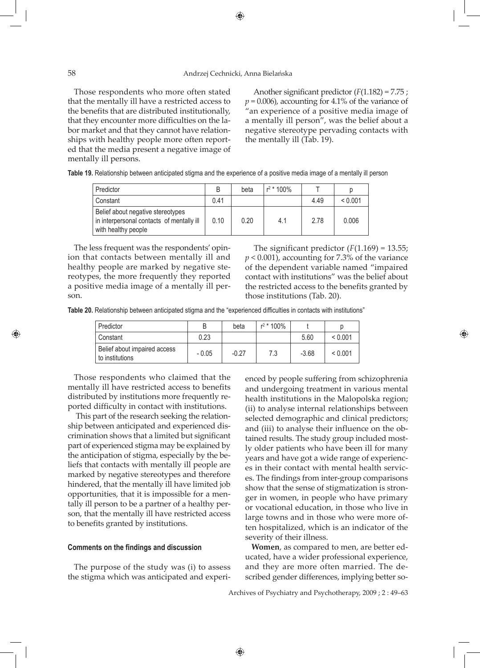# 58 Andrzej Cechnicki, Anna Bielańska

Those respondents who more often stated that the mentally ill have a restricted access to the benefits that are distributed institutionally, that they encounter more difficulties on the labor market and that they cannot have relationships with healthy people more often reported that the media present a negative image of mentally ill persons.

 Another significant predictor (*F*(1.182) = 7.75 ;  $p = 0.006$ ), accounting for 4.1% of the variance of "an experience of a positive media image of a mentally ill person", was the belief about a negative stereotype pervading contacts with the mentally ill (Tab. 19).

|  |  | Table 19. Relationship between anticipated stigma and the experience of a positive media image of a mentally ill person |
|--|--|-------------------------------------------------------------------------------------------------------------------------|
|  |  |                                                                                                                         |

| Predictor                                                                                             | B    | beta | $r^2$ * 100% |      |         |
|-------------------------------------------------------------------------------------------------------|------|------|--------------|------|---------|
| Constant                                                                                              | 0.41 |      |              | 4.49 | < 0.001 |
| Belief about negative stereotypes<br>in interpersonal contacts of mentally ill<br>with healthy people | 0.10 | 0.20 | 4.1          | 2.78 | 0.006   |

The less frequent was the respondents' opinion that contacts between mentally ill and healthy people are marked by negative stereotypes, the more frequently they reported a positive media image of a mentally ill person.

⊕

The significant predictor  $(F(1.169) = 13.55)$ ; *p* < 0.001), accounting for 7.3% of the variance of the dependent variable named "impaired contact with institutions" was the belief about the restricted access to the benefits granted by those institutions (Tab. 20).

♠

**Table 20.** Relationship between anticipated stigma and the "experienced difficulties in contacts with institutions"

| Predictor                                       |         | beta    | $r^2$ * 100% |         |         |
|-------------------------------------------------|---------|---------|--------------|---------|---------|
| l Constant                                      | 0.23    |         |              | 5.60    | < 0.001 |
| Belief about impaired access<br>to institutions | $-0.05$ | $-0.27$ | 7.3          | $-3.68$ | < 0.001 |

Those respondents who claimed that the mentally ill have restricted access to benefits distributed by institutions more frequently reported difficulty in contact with institutions.

 This part of the research seeking the relationship between anticipated and experienced discrimination shows that a limited but significant part of experienced stigma may be explained by the anticipation of stigma, especially by the beliefs that contacts with mentally ill people are marked by negative stereotypes and therefore hindered, that the mentally ill have limited job opportunities, that it is impossible for a mentally ill person to be a partner of a healthy person, that the mentally ill have restricted access to benefits granted by institutions.

### **Comments on the findings and discussion**

The purpose of the study was (i) to assess the stigma which was anticipated and experienced by people suffering from schizophrenia and undergoing treatment in various mental health institutions in the Malopolska region; (ii) to analyse internal relationships between selected demographic and clinical predictors; and (iii) to analyse their influence on the obtained results. The study group included mostly older patients who have been ill for many years and have got a wide range of experiences in their contact with mental health services. The findings from inter-group comparisons show that the sense of stigmatization is stronger in women, in people who have primary or vocational education, in those who live in large towns and in those who were more often hospitalized, which is an indicator of the severity of their illness.

**Women**, as compared to men, are better educated, have a wider professional experience, and they are more often married. The described gender differences, implying better so-

Archives of Psychiatry and Psychotherapy, 2009 ; 2 : 49–63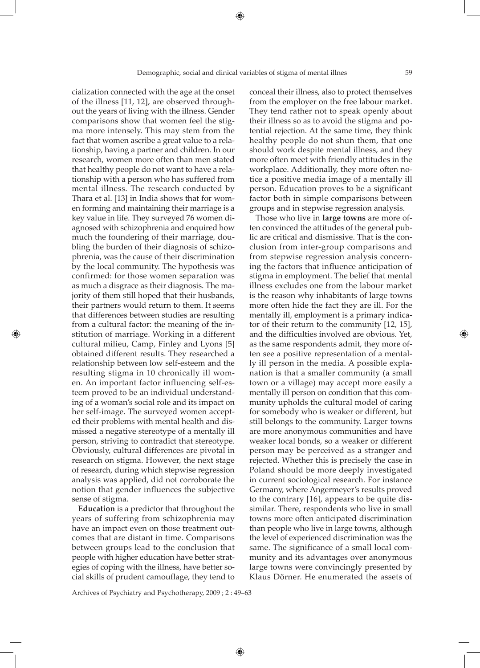cialization connected with the age at the onset of the illness [11, 12], are observed throughout the years of living with the illness. Gender comparisons show that women feel the stigma more intensely. This may stem from the fact that women ascribe a great value to a relationship, having a partner and children. In our research, women more often than men stated that healthy people do not want to have a relationship with a person who has suffered from mental illness. The research conducted by Thara et al. [13] in India shows that for women forming and maintaining their marriage is a key value in life. They surveyed 76 women diagnosed with schizophrenia and enquired how much the foundering of their marriage, doubling the burden of their diagnosis of schizophrenia, was the cause of their discrimination by the local community. The hypothesis was confirmed: for those women separation was as much a disgrace as their diagnosis. The majority of them still hoped that their husbands, their partners would return to them. It seems that differences between studies are resulting from a cultural factor: the meaning of the institution of marriage. Working in a different cultural milieu, Camp, Finley and Lyons [5] obtained different results. They researched a relationship between low self-esteem and the resulting stigma in 10 chronically ill women. An important factor influencing self-esteem proved to be an individual understanding of a woman's social role and its impact on her self-image. The surveyed women accepted their problems with mental health and dismissed a negative stereotype of a mentally ill person, striving to contradict that stereotype. Obviously, cultural differences are pivotal in research on stigma. However, the next stage of research, during which stepwise regression analysis was applied, did not corroborate the notion that gender influences the subjective sense of stigma.

⊕

**Education** is a predictor that throughout the years of suffering from schizophrenia may have an impact even on those treatment outcomes that are distant in time. Comparisons between groups lead to the conclusion that people with higher education have better strategies of coping with the illness, have better social skills of prudent camouflage, they tend to

Archives of Psychiatry and Psychotherapy, 2009 ; 2 : 49–63

conceal their illness, also to protect themselves from the employer on the free labour market. They tend rather not to speak openly about their illness so as to avoid the stigma and potential rejection. At the same time, they think healthy people do not shun them, that one should work despite mental illness, and they more often meet with friendly attitudes in the workplace. Additionally, they more often notice a positive media image of a mentally ill person. Education proves to be a significant factor both in simple comparisons between groups and in stepwise regression analysis.

Those who live in **large towns** are more often convinced the attitudes of the general public are critical and dismissive. That is the conclusion from inter-group comparisons and from stepwise regression analysis concerning the factors that influence anticipation of stigma in employment. The belief that mental illness excludes one from the labour market is the reason why inhabitants of large towns more often hide the fact they are ill. For the mentally ill, employment is a primary indicator of their return to the community [12, 15], and the difficulties involved are obvious. Yet, as the same respondents admit, they more often see a positive representation of a mentally ill person in the media. A possible explanation is that a smaller community (a small town or a village) may accept more easily a mentally ill person on condition that this community upholds the cultural model of caring for somebody who is weaker or different, but still belongs to the community. Larger towns are more anonymous communities and have weaker local bonds, so a weaker or different person may be perceived as a stranger and rejected. Whether this is precisely the case in Poland should be more deeply investigated in current sociological research. For instance Germany, where Angermeyer's results proved to the contrary [16], appears to be quite dissimilar. There, respondents who live in small towns more often anticipated discrimination than people who live in large towns, although the level of experienced discrimination was the same. The significance of a small local community and its advantages over anonymous large towns were convincingly presented by Klaus Dörner. He enumerated the assets of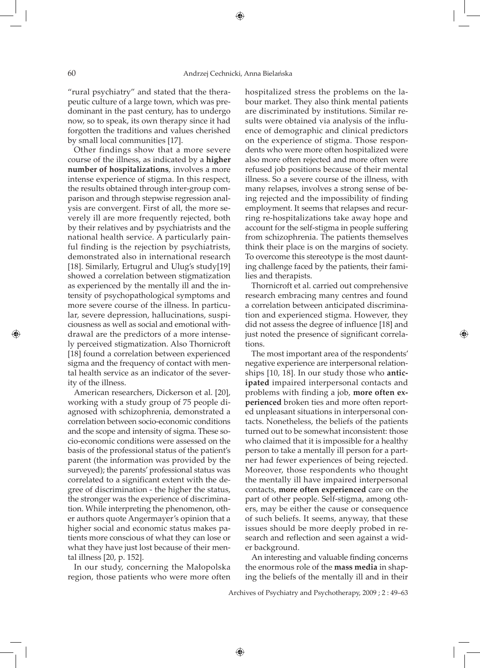"rural psychiatry" and stated that the therapeutic culture of a large town, which was predominant in the past century, has to undergo now, so to speak, its own therapy since it had forgotten the traditions and values cherished by small local communities [17].

Other findings show that a more severe course of the illness, as indicated by a **higher number of hospitalizations**, involves a more intense experience of stigma. In this respect, the results obtained through inter-group comparison and through stepwise regression analysis are convergent. First of all, the more severely ill are more frequently rejected, both by their relatives and by psychiatrists and the national health service. A particularly painful finding is the rejection by psychiatrists, demonstrated also in international research [18]. Similarly, Ertugrul and Ulug's study[19] showed a correlation between stigmatization as experienced by the mentally ill and the intensity of psychopathological symptoms and more severe course of the illness. In particular, severe depression, hallucinations, suspiciousness as well as social and emotional withdrawal are the predictors of a more intensely perceived stigmatization. Also Thornicroft [18] found a correlation between experienced sigma and the frequency of contact with mental health service as an indicator of the severity of the illness.

American researchers, Dickerson et al. [20], working with a study group of 75 people diagnosed with schizophrenia, demonstrated a correlation between socio-economic conditions and the scope and intensity of sigma. These socio-economic conditions were assessed on the basis of the professional status of the patient's parent (the information was provided by the surveyed); the parents' professional status was correlated to a significant extent with the degree of discrimination - the higher the status, the stronger was the experience of discrimination. While interpreting the phenomenon, other authors quote Angermayer's opinion that a higher social and economic status makes patients more conscious of what they can lose or what they have just lost because of their mental illness [20, p. 152].

In our study, concerning the Małopolska region, those patients who were more often

hospitalized stress the problems on the labour market. They also think mental patients are discriminated by institutions. Similar results were obtained via analysis of the influence of demographic and clinical predictors on the experience of stigma. Those respondents who were more often hospitalized were also more often rejected and more often were refused job positions because of their mental illness. So a severe course of the illness, with many relapses, involves a strong sense of being rejected and the impossibility of finding employment. It seems that relapses and recurring re-hospitalizations take away hope and account for the self-stigma in people suffering from schizophrenia. The patients themselves think their place is on the margins of society. To overcome this stereotype is the most daunting challenge faced by the patients, their families and therapists.

Thornicroft et al. carried out comprehensive research embracing many centres and found a correlation between anticipated discrimination and experienced stigma. However, they did not assess the degree of influence [18] and just noted the presence of significant correlations.

⊕

The most important area of the respondents' negative experience are interpersonal relationships [10, 18]. In our study those who **anticipated** impaired interpersonal contacts and problems with finding a job, **more often experienced** broken ties and more often reported unpleasant situations in interpersonal contacts. Nonetheless, the beliefs of the patients turned out to be somewhat inconsistent: those who claimed that it is impossible for a healthy person to take a mentally ill person for a partner had fewer experiences of being rejected. Moreover, those respondents who thought the mentally ill have impaired interpersonal contacts, **more often experienced** care on the part of other people. Self-stigma, among others, may be either the cause or consequence of such beliefs. It seems, anyway, that these issues should be more deeply probed in research and reflection and seen against a wider background.

An interesting and valuable finding concerns the enormous role of the **mass media** in shaping the beliefs of the mentally ill and in their

Archives of Psychiatry and Psychotherapy, 2009 ; 2 : 49–63

⊕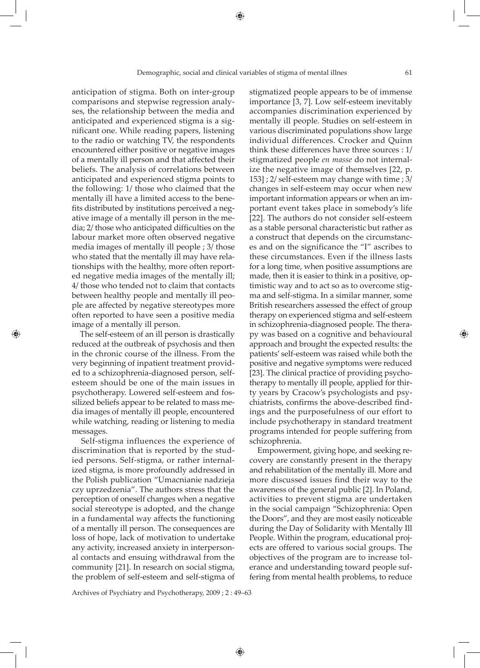anticipation of stigma. Both on inter-group comparisons and stepwise regression analyses, the relationship between the media and anticipated and experienced stigma is a significant one. While reading papers, listening to the radio or watching TV, the respondents encountered either positive or negative images of a mentally ill person and that affected their beliefs. The analysis of correlations between anticipated and experienced stigma points to the following: 1/ those who claimed that the mentally ill have a limited access to the benefits distributed by institutions perceived a negative image of a mentally ill person in the media; 2/ those who anticipated difficulties on the labour market more often observed negative media images of mentally ill people ; 3/ those who stated that the mentally ill may have relationships with the healthy, more often reported negative media images of the mentally ill; 4/ those who tended not to claim that contacts between healthy people and mentally ill people are affected by negative stereotypes more often reported to have seen a positive media image of a mentally ill person.

 The self-esteem of an ill person is drastically reduced at the outbreak of psychosis and then in the chronic course of the illness. From the very beginning of inpatient treatment provided to a schizophrenia-diagnosed person, selfesteem should be one of the main issues in psychotherapy. Lowered self-esteem and fossilized beliefs appear to be related to mass media images of mentally ill people, encountered while watching, reading or listening to media messages.

⊕

 Self-stigma influences the experience of discrimination that is reported by the studied persons. Self-stigma, or rather internalized stigma, is more profoundly addressed in the Polish publication "Umacnianie nadzieja czy uprzedzenia". The authors stress that the perception of oneself changes when a negative social stereotype is adopted, and the change in a fundamental way affects the functioning of a mentally ill person. The consequences are loss of hope, lack of motivation to undertake any activity, increased anxiety in interpersonal contacts and ensuing withdrawal from the community [21]. In research on social stigma, the problem of self-esteem and self-stigma of

stigmatized people appears to be of immense importance [3, 7]. Low self-esteem inevitably accompanies discrimination experienced by mentally ill people. Studies on self-esteem in various discriminated populations show large individual differences. Crocker and Quinn think these differences have three sources : 1/ stigmatized people *en masse* do not internalize the negative image of themselves [22, p. 153] ; 2/ self-esteem may change with time ; 3/ changes in self-esteem may occur when new important information appears or when an important event takes place in somebody's life [22]. The authors do not consider self-esteem as a stable personal characteristic but rather as a construct that depends on the circumstances and on the significance the "I" ascribes to these circumstances. Even if the illness lasts for a long time, when positive assumptions are made, then it is easier to think in a positive, optimistic way and to act so as to overcome stigma and self-stigma. In a similar manner, some British researchers assessed the effect of group therapy on experienced stigma and self-esteem in schizophrenia-diagnosed people. The therapy was based on a cognitive and behavioural approach and brought the expected results: the patients' self-esteem was raised while both the positive and negative symptoms were reduced [23]. The clinical practice of providing psychotherapy to mentally ill people, applied for thirty years by Cracow's psychologists and psychiatrists, confirms the above-described findings and the purposefulness of our effort to include psychotherapy in standard treatment programs intended for people suffering from schizophrenia.

 Empowerment, giving hope, and seeking recovery are constantly present in the therapy and rehabilitation of the mentally ill. More and more discussed issues find their way to the awareness of the general public [2]. In Poland, activities to prevent stigma are undertaken in the social campaign "Schizophrenia: Open the Doors", and they are most easily noticeable during the Day of Solidarity with Mentally Ill People. Within the program, educational projects are offered to various social groups. The objectives of the program are to increase tolerance and understanding toward people suffering from mental health problems, to reduce

Archives of Psychiatry and Psychotherapy, 2009 ; 2 : 49–63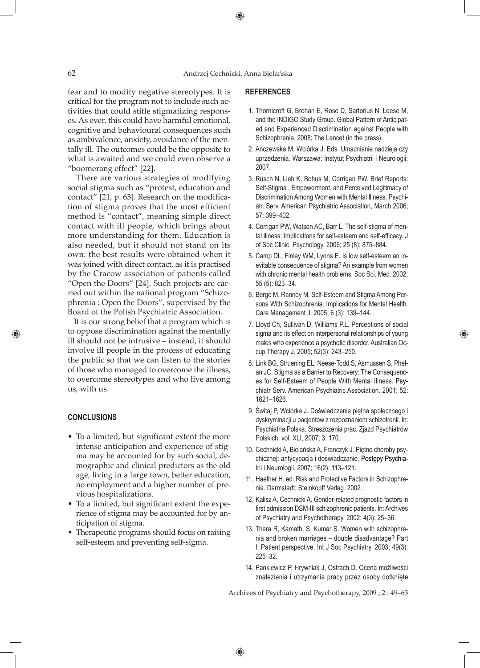fear and to modify negative stereotypes. It is critical for the program not to include such activities that could stifle stigmatizing responses. As ever, this could have harmful emotional, cognitive and behavioural consequences such as ambivalence, anxiety, avoidance of the mentally ill. The outcomes could be the opposite to what is awaited and we could even observe a "boomerang effect" [22].

 There are various strategies of modifying social stigma such as "protest, education and contact" [21, p. 63]. Research on the modification of stigma proves that the most efficient method is "contact", meaning simple direct contact with ill people, which brings about more understanding for them. Education is also needed, but it should not stand on its own: the best results were obtained when it was joined with direct contact, as it is practised by the Cracow association of patients called "Open the Doors" [24]. Such projects are carried out within the national program "Schizophrenia : Open the Doors", supervised by the Board of the Polish Psychiatric Association.

It is our strong belief that a program which is to oppose discrimination against the mentally ill should not be intrusive – instead, it should involve ill people in the process of educating the public so that we can listen to the stories of those who managed to overcome the illness, to overcome stereotypes and who live among us, with us.

# **CONCLUSIONS**

⊕

- To a limited, but significant extent the more intense anticipation and experience of stigma may be accounted for by such social, demographic and clinical predictors as the old age, living in a large town, better education, no employment and a higher number of previous hospitalizations.
- To a limited, but significant extent the experience of stigma may be accounted for by anticipation of stigma.
- Therapeutic programs should focus on raising self-esteem and preventing self-sigma.

# **REFERENCES**

- 1. Thornicroft G, Brohan E, Rose D, Sartorius N, Leese M, and the INDIGO Study Group. Global Pattern of Anticipated and Experienced Discrimination against People with Schizophrenia. 2008; The Lancet (in the press).
- 2. Anczewska M, Wciórka J. Eds. Umacnianie nadzieja czy uprzedzenia. Warszawa: Instytut Psychiatrii i Neurologii; 2007.
- 3. Rüsch N, Lieb K, Bohus M, Corrigan PW. Brief Reports: Self-Stigma , Empowerment, and Perceived Legitimacy of Discrimination Among Women with Mental Illness. Psychiatr. Serv. American Psychiatric Association, March 2006; 57: 399–402.
- 4. Corrigan PW, Watson AC, Barr L. The self-stigma of mental illness: Implications for self-esteem and self-efficacy. J of Soc Clinic. Psychology. 2006; 25 (8): 875–884.
- 5. Camp DL, Finlay WM, Lyons E. Is low self-esteem an inevitable consequence of stigma? An example from women with chronic mental health problems. Soc Sci. Med. 2002; 55 (5): 823–34.
- 6. Berge M, Ranney M. Self-Esteem and Stigma Among Persons With Schizophrenia. Implications for Mental Health. Care Management J. 2005; 6 (3): 139–144.
- 7. Lloyd Ch, Sullivan D, Williams P.L. Perceptions of social sigma and its effect on interpersonal relationships of young males who experience a psychotic disorder. Australian Occup Therapy J. 2005; 52(3): 243–250.

⊕

- 8. Link BG, Struening EL, Neese-Todd S, Asmussen S, Phelan JC. Stigma as a Barrier to Recovery: The Consequences for Self-Esteem of People With Mental Illness. Psychiatr Serv. American Psychiatric Association. 2001; 52: 1621–1626.
- 9. Świtaj P, Wciórka J. Doświadczenie piętna społecznego i dyskryminacji u pacjentów z rozpoznaniem schizofrenii. In: Psychiatria Polska. Streszczenia prac. Zjazd Psychiatrów Polskich; vol. XLI, 2007; 3: 170.
- 10. Cechnicki A, Bielańska A, Franczyk J. Piętno choroby psychicznej: antycypacja i doświadczanie. Postępy Psychiatrii i Neurologii. 2007; 16(2): 113–121.
- 11. Haefner H. ed. Risk and Protective Factors in Schizophrenia. Darmstadt; Steinkopff Verlag. 2002. .
- 12. Kalisz A, Cechnicki A. Gender-related prognostic factors in first admission DSM-III schizophrenic patients. In: Archives of Psychiatry and Psychotherapy. 2002; 4(3): 25–36.
- 13. Thara R, Kamath, S, Kumar S. Women with schizophrenia and broken marriages – double disadvantage? Part I: Patient perspective. Int J Soc Psychiatry. 2003; 49(3): 225–32.
- 14. Pankiewicz P, Hrywniak J, Ostrach D. Ocena możliwości znalezienia i utrzymania pracy przez osoby dotknięte

Archives of Psychiatry and Psychotherapy, 2009 ; 2 : 49–63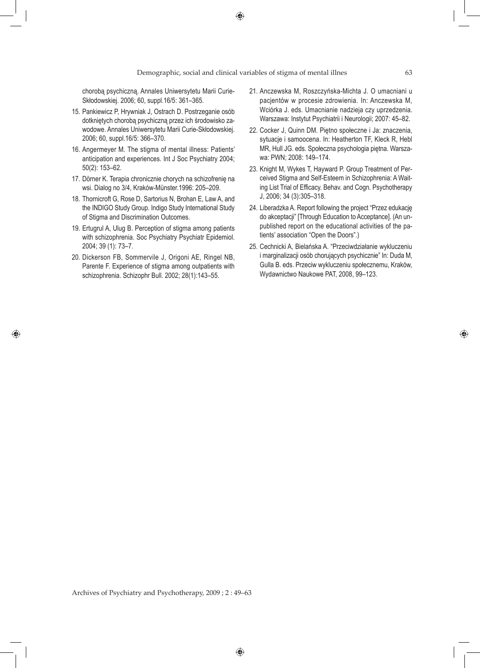chorobą psychiczną. Annales Uniwersytetu Marii Curie-Skłodowskiej. 2006; 60, suppl.16/5: 361–365.

- 15. Pankiewicz P, Hrywniak J, Ostrach D. Postrzeganie osób dotkniętych chorobą psychiczną przez ich środowisko zawodowe. Annales Uniwersytetu Marii Curie-Skłodowskiej. 2006; 60, suppl.16/5: 366–370.
- 16. Angermeyer M. The stigma of mental illness: Patients' anticipation and experiences. Int J Soc Psychiatry 2004; 50(2): 153–62.
- 17. Dörner K. Terapia chronicznie chorych na schizofrenię na wsi. Dialog no 3/4, Kraków-Münster.1996: 205–209.
- 18. Thornicroft G, Rose D, Sartorius N, Brohan E, Law A, and the INDIGO Study Group. Indigo Study International Study of Stigma and Discrimination Outcomes.
- 19. Ertugrul A, Ulug B. Perception of stigma among patients with schizophrenia. Soc Psychiatry Psychiatr Epidemiol. 2004; 39 (1): 73–7.
- 20. Dickerson FB, Sommervile J, Origoni AE, Ringel NB, Parente F. Experience of stigma among outpatients with schizophrenia. Schizophr Bull. 2002; 28(1):143–55.

♠

- 21. Anczewska M, Roszczyńska-Michta J. O umacniani u pacjentów w procesie zdrowienia. In: Anczewska M, Wciórka J. eds. Umacnianie nadzieja czy uprzedzenia. Warszawa: Instytut Psychiatrii i Neurologii; 2007: 45–82.
- 22. Cocker J, Quinn DM. Piętno społeczne i Ja: znaczenia, sytuacje i samoocena. In: Heatherton TF, Kleck R, Hebl MR, Hull JG. eds. Społeczna psychologia piętna. Warszawa: PWN; 2008: 149–174.
- 23. Knight M, Wykes T, Hayward P. Group Treatment of Perceived Stigma and Self-Esteem in Schizophrenia: A Waiting List Trial of Efficacy. Behav. and Cogn. Psychotherapy J, 2006; 34 (3):305–318.
- 24. Liberadzka A. Report following the project "Przez edukację do akceptacji" [Through Education to Acceptance]. (An unpublished report on the educational activities of the patients' association "Open the Doors".)
- 25. Cechnicki A, Bielańska A. "Przeciwdziałanie wykluczeniu i marginalizacji osób chorujących psychicznie" In: Duda M, Gulla B. eds. Przeciw wykluczeniu społecznemu, Kraków, Wydawnictwo Naukowe PAT, 2008, 99–123.

◈